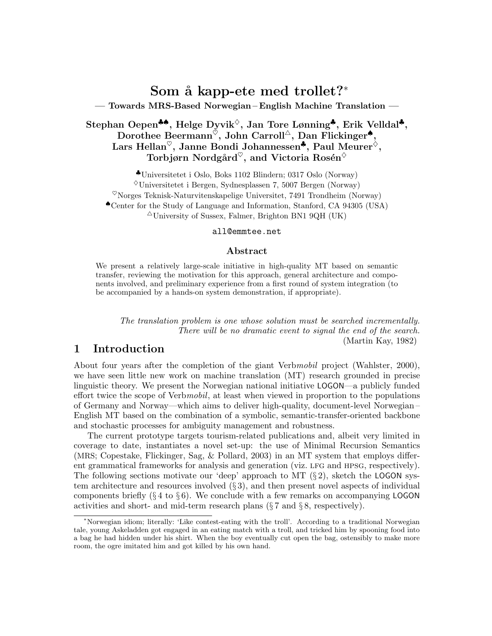# Som å kapp-ete med trollet?\*

— Towards MRS-Based Norwegian – English Machine Translation —

## Stephan Oepen♣♠, Helge Dyvik♦, Jan Tore Lønning♣, Erik Velldal♣, Dorothee Beermann<sup> $\check{\circ}$ </sup>, John Carroll<sup> $\triangle$ </sup>, Dan Flickinger<sup>•</sup>, Lars Hellan<sup> $\heartsuit$ </sup>, Janne Bondi Johannessen<sup>\*</sup>, Paul Meurer<sup> $\diamond$ </sup>, Torbjørn Nordgård<sup> $\heartsuit$ </sup>, and Victoria Rosén<sup> $\diamond$ </sup>

♣Universitetet i Oslo, Boks 1102 Blindern; 0317 Oslo (Norway)  $\Diamond$ Universitetet i Bergen, Sydnesplassen 7, 5007 Bergen (Norway)  $^{\heartsuit}$ Norges Teknisk-Naturvitenskapelige Universitet, 7491 Trondheim (Norway) ♠Center for the Study of Language and Information, Stanford, CA 94305 (USA)  $\triangle$ University of Sussex, Falmer, Brighton BN1 9QH (UK)

#### all@emmtee.net

#### Abstract

We present a relatively large-scale initiative in high-quality MT based on semantic transfer, reviewing the motivation for this approach, general architecture and components involved, and preliminary experience from a first round of system integration (to be accompanied by a hands-on system demonstration, if appropriate).

The translation problem is one whose solution must be searched incrementally. There will be no dramatic event to signal the end of the search. (Martin Kay, 1982)

### 1 Introduction

About four years after the completion of the giant Verbmobil project (Wahlster, 2000), we have seen little new work on machine translation (MT) research grounded in precise linguistic theory. We present the Norwegian national initiative LOGON—a publicly funded effort twice the scope of Verbmobil, at least when viewed in proportion to the populations of Germany and Norway—which aims to deliver high-quality, document-level Norwegian – English MT based on the combination of a symbolic, semantic-transfer-oriented backbone and stochastic processes for ambiguity management and robustness.

The current prototype targets tourism-related publications and, albeit very limited in coverage to date, instantiates a novel set-up: the use of Minimal Recursion Semantics (MRS; Copestake, Flickinger, Sag, & Pollard, 2003) in an MT system that employs different grammatical frameworks for analysis and generation (viz. lfg and hpsg, respectively). The following sections motivate our 'deep' approach to MT  $(\S 2)$ , sketch the LOGON system architecture and resources involved  $(\S 3)$ , and then present novel aspects of individual components briefly  $(\S 4 \text{ to } \S 6)$ . We conclude with a few remarks on accompanying LOGON activities and short- and mid-term research plans (§ 7 and § 8, respectively).

<sup>∗</sup>Norwegian idiom; literally: 'Like contest-eating with the troll'. According to a traditional Norwegian tale, young Askeladden got engaged in an eating match with a troll, and tricked him by spooning food into a bag he had hidden under his shirt. When the boy eventually cut open the bag, ostensibly to make more room, the ogre imitated him and got killed by his own hand.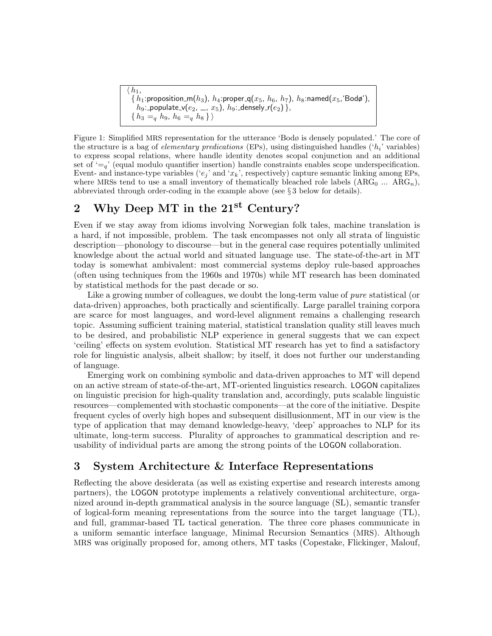$\bar{h}_{1}$ ,  $\{h_1: \text{proposition\_m}(h_3), h_4: \text{proper\_q}(x_5, h_6, h_7), h_8: \text{named}(x_5, \text{'Body'}),\}$  $h$ 9:\_populate\_v $(e_2,\, \_,\, x_5)$ ,  $h$ 9:\_densely\_r $(e_2)$  },  $\{h_3 =_q h_9, h_6 =_q h_8\}\rangle$ 

Figure 1: Simplified MRS representation for the utterance 'Bodø is densely populated.' The core of the structure is a bag of *elementary predications* (EPs), using distinguished handles  $('h_i'$  variables) to express scopal relations, where handle identity denotes scopal conjunction and an additional set of  $\zeta = a'$  (equal modulo quantifier insertion) handle constraints enables scope underspecification. Event- and instance-type variables (' $e_j$ ' and ' $x_k$ ', respectively) capture semantic linking among EPs, where MRSs tend to use a small inventory of thematically bleached role labels  $(ARG_0 ... ARG_n)$ , abbreviated through order-coding in the example above (see § 3 below for details).

# 2 Why Deep MT in the  $21^{st}$  Century?

Even if we stay away from idioms involving Norwegian folk tales, machine translation is a hard, if not impossible, problem. The task encompasses not only all strata of linguistic description—phonology to discourse—but in the general case requires potentially unlimited knowledge about the actual world and situated language use. The state-of-the-art in MT today is somewhat ambivalent: most commercial systems deploy rule-based approaches (often using techniques from the 1960s and 1970s) while MT research has been dominated by statistical methods for the past decade or so.

Like a growing number of colleagues, we doubt the long-term value of *pure* statistical (or data-driven) approaches, both practically and scientifically. Large parallel training corpora are scarce for most languages, and word-level alignment remains a challenging research topic. Assuming sufficient training material, statistical translation quality still leaves much to be desired, and probabilistic NLP experience in general suggests that we can expect 'ceiling' effects on system evolution. Statistical MT research has yet to find a satisfactory role for linguistic analysis, albeit shallow; by itself, it does not further our understanding of language.

Emerging work on combining symbolic and data-driven approaches to MT will depend on an active stream of state-of-the-art, MT-oriented linguistics research. LOGON capitalizes on linguistic precision for high-quality translation and, accordingly, puts scalable linguistic resources—complemented with stochastic components—at the core of the initiative. Despite frequent cycles of overly high hopes and subsequent disillusionment, MT in our view is the type of application that may demand knowledge-heavy, 'deep' approaches to NLP for its ultimate, long-term success. Plurality of approaches to grammatical description and reusability of individual parts are among the strong points of the LOGON collaboration.

# 3 System Architecture & Interface Representations

Reflecting the above desiderata (as well as existing expertise and research interests among partners), the LOGON prototype implements a relatively conventional architecture, organized around in-depth grammatical analysis in the source language (SL), semantic transfer of logical-form meaning representations from the source into the target language (TL), and full, grammar-based TL tactical generation. The three core phases communicate in a uniform semantic interface language, Minimal Recursion Semantics (MRS). Although MRS was originally proposed for, among others, MT tasks (Copestake, Flickinger, Malouf,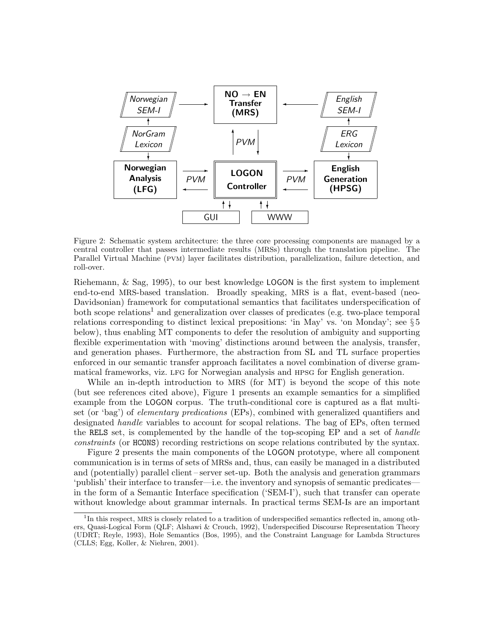

Figure 2: Schematic system architecture: the three core processing components are managed by a central controller that passes intermediate results (MRSs) through the translation pipeline. The Parallel Virtual Machine (pvm) layer facilitates distribution, parallelization, failure detection, and roll-over.

Riehemann, & Sag, 1995), to our best knowledge LOGON is the first system to implement end-to-end MRS-based translation. Broadly speaking, MRS is a flat, event-based (neo-Davidsonian) framework for computational semantics that facilitates underspecification of both scope relations<sup>1</sup> and generalization over classes of predicates (e.g. two-place temporal relations corresponding to distinct lexical prepositions: 'in May' vs. 'on Monday'; see § 5 below), thus enabling MT components to defer the resolution of ambiguity and supporting flexible experimentation with 'moving' distinctions around between the analysis, transfer, and generation phases. Furthermore, the abstraction from SL and TL surface properties enforced in our semantic transfer approach facilitates a novel combination of diverse grammatical frameworks, viz. lfg for Norwegian analysis and hpsg for English generation.

While an in-depth introduction to MRS (for MT) is beyond the scope of this note (but see references cited above), Figure 1 presents an example semantics for a simplified example from the LOGON corpus. The truth-conditional core is captured as a flat multiset (or 'bag') of elementary predications (EPs), combined with generalized quantifiers and designated handle variables to account for scopal relations. The bag of EPs, often termed the RELS set, is complemented by the handle of the top-scoping EP and a set of handle constraints (or HCONS) recording restrictions on scope relations contributed by the syntax.

Figure 2 presents the main components of the LOGON prototype, where all component communication is in terms of sets of MRSs and, thus, can easily be managed in a distributed and (potentially) parallel client – server set-up. Both the analysis and generation grammars 'publish' their interface to transfer—i.e. the inventory and synopsis of semantic predicates in the form of a Semantic Interface specification ('SEM-I'), such that transfer can operate without knowledge about grammar internals. In practical terms SEM-Is are an important

<sup>&</sup>lt;sup>1</sup>In this respect, MRS is closely related to a tradition of underspecified semantics reflected in, among others, Quasi-Logical Form (QLF; Alshawi & Crouch, 1992), Underspecified Discourse Representation Theory (UDRT; Reyle, 1993), Hole Semantics (Bos, 1995), and the Constraint Language for Lambda Structures (CLLS; Egg, Koller, & Niehren, 2001).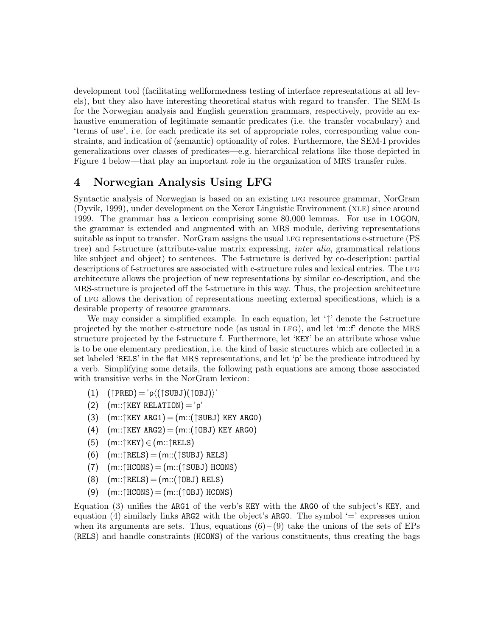development tool (facilitating wellformedness testing of interface representations at all levels), but they also have interesting theoretical status with regard to transfer. The SEM-Is for the Norwegian analysis and English generation grammars, respectively, provide an exhaustive enumeration of legitimate semantic predicates (i.e. the transfer vocabulary) and 'terms of use', i.e. for each predicate its set of appropriate roles, corresponding value constraints, and indication of (semantic) optionality of roles. Furthermore, the SEM-I provides generalizations over classes of predicates—e.g. hierarchical relations like those depicted in Figure 4 below—that play an important role in the organization of MRS transfer rules.

### 4 Norwegian Analysis Using LFG

Syntactic analysis of Norwegian is based on an existing LFG resource grammar, NorGram (Dyvik, 1999), under development on the Xerox Linguistic Environment (xle) since around 1999. The grammar has a lexicon comprising some 80,000 lemmas. For use in LOGON, the grammar is extended and augmented with an MRS module, deriving representations suitable as input to transfer. NorGram assigns the usual LFG representations c-structure (PS tree) and f-structure (attribute-value matrix expressing, inter alia, grammatical relations like subject and object) to sentences. The f-structure is derived by co-description: partial descriptions of f-structures are associated with c-structure rules and lexical entries. The LFG architecture allows the projection of new representations by similar co-description, and the MRS-structure is projected off the f-structure in this way. Thus, the projection architecture of lfg allows the derivation of representations meeting external specifications, which is a desirable property of resource grammars.

We may consider a simplified example. In each equation, let '<sup>†</sup>' denote the f-structure projected by the mother c-structure node (as usual in lfg), and let 'm::f' denote the MRS structure projected by the f-structure f. Furthermore, let 'KEY' be an attribute whose value is to be one elementary predication, i.e. the kind of basic structures which are collected in a set labeled 'RELS' in the flat MRS representations, and let 'p' be the predicate introduced by a verb. Simplifying some details, the following path equations are among those associated with transitive verbs in the NorGram lexicon:

- $(1)$   $(\uparrow$ PRED) = 'p $\langle (\uparrow$ SUBJ) $(\uparrow$ OBJ) $\rangle$ '
- (2)  $(m::\uparrow$  KEY RELATION) = 'p'
- (3)  $(m::\uparrow K EY \text{ ARG1}) = (m::(\uparrow \text{SUBJ}) \text{KEY ARG0})$
- (4)  $(m::\uparrow K EY \text{ ARG2}) = (m::(\uparrow \text{OBJ}) \text{ KEY ARG0})$
- $(5)$   $(m::\uparrow K EY) \in (m::\uparrow R ELS)$
- $(6)$   $(m::\uparrow$ RELS) =  $(m::(\uparrow$ SUBJ) RELS)
- $(7)$   $(m::\uparrow HCONS) = (m::(\uparrow SUBJ) HCONS)$
- $(8)$   $(m::\uparrow$ RELS) =  $(m::(\uparrow$  OBJ) RELS)
- $(9)$   $(m::\uparrow \text{HCONS}) = (m::(\uparrow \text{OBJ})$  HCONS)

Equation (3) unifies the ARG1 of the verb's KEY with the ARG0 of the subject's KEY, and equation (4) similarly links ARG2 with the object's ARG0. The symbol  $\equiv$  expresses union when its arguments are sets. Thus, equations  $(6)-(9)$  take the unions of the sets of EPs (RELS) and handle constraints (HCONS) of the various constituents, thus creating the bags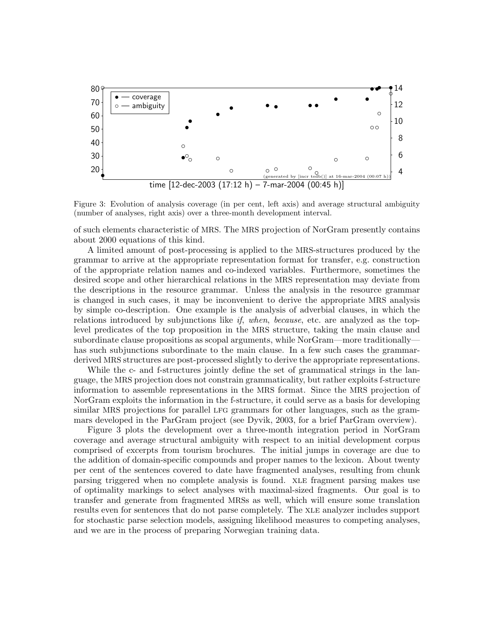

Figure 3: Evolution of analysis coverage (in per cent, left axis) and average structural ambiguity (number of analyses, right axis) over a three-month development interval.

of such elements characteristic of MRS. The MRS projection of NorGram presently contains about 2000 equations of this kind.

A limited amount of post-processing is applied to the MRS-structures produced by the grammar to arrive at the appropriate representation format for transfer, e.g. construction of the appropriate relation names and co-indexed variables. Furthermore, sometimes the desired scope and other hierarchical relations in the MRS representation may deviate from the descriptions in the resource grammar. Unless the analysis in the resource grammar is changed in such cases, it may be inconvenient to derive the appropriate MRS analysis by simple co-description. One example is the analysis of adverbial clauses, in which the relations introduced by subjunctions like if, when, because, etc. are analyzed as the toplevel predicates of the top proposition in the MRS structure, taking the main clause and subordinate clause propositions as scopal arguments, while NorGram—more traditionally has such subjunctions subordinate to the main clause. In a few such cases the grammarderived MRS structures are post-processed slightly to derive the appropriate representations.

While the c- and f-structures jointly define the set of grammatical strings in the language, the MRS projection does not constrain grammaticality, but rather exploits f-structure information to assemble representations in the MRS format. Since the MRS projection of NorGram exploits the information in the f-structure, it could serve as a basis for developing similar MRS projections for parallel LFG grammars for other languages, such as the grammars developed in the ParGram project (see Dyvik, 2003, for a brief ParGram overview).

Figure 3 plots the development over a three-month integration period in NorGram coverage and average structural ambiguity with respect to an initial development corpus comprised of excerpts from tourism brochures. The initial jumps in coverage are due to the addition of domain-specific compounds and proper names to the lexicon. About twenty per cent of the sentences covered to date have fragmented analyses, resulting from chunk parsing triggered when no complete analysis is found. xle fragment parsing makes use of optimality markings to select analyses with maximal-sized fragments. Our goal is to transfer and generate from fragmented MRSs as well, which will ensure some translation results even for sentences that do not parse completely. The xle analyzer includes support for stochastic parse selection models, assigning likelihood measures to competing analyses, and we are in the process of preparing Norwegian training data.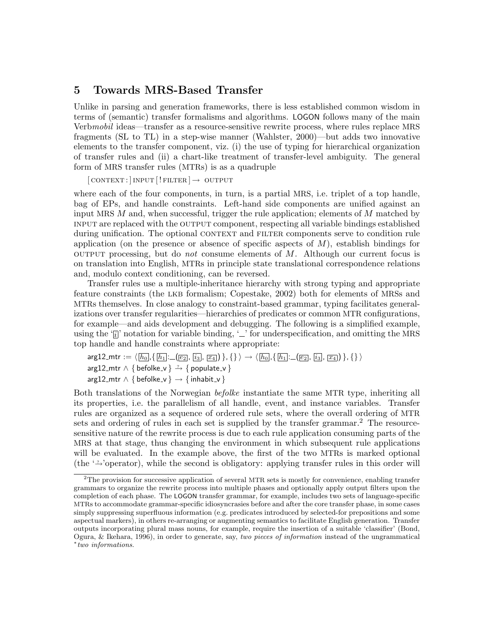#### 5 Towards MRS-Based Transfer

Unlike in parsing and generation frameworks, there is less established common wisdom in terms of (semantic) transfer formalisms and algorithms. LOGON follows many of the main Verbmobil ideas—transfer as a resource-sensitive rewrite process, where rules replace MRS fragments (SL to TL) in a step-wise manner (Wahlster, 2000)—but adds two innovative elements to the transfer component, viz. (i) the use of typing for hierarchical organization of transfer rules and (ii) a chart-like treatment of transfer-level ambiguity. The general form of MRS transfer rules (MTRs) is as a quadruple

 $\lceil$  CONTEXT :  $\lceil$  INPUT  $\lceil$  ! FILTER  $\lceil \rightarrow$  OUTPUT

where each of the four components, in turn, is a partial MRS, i.e. triplet of a top handle, bag of EPs, and handle constraints. Left-hand side components are unified against an input MRS  $M$  and, when successful, trigger the rule application; elements of  $M$  matched by input are replaced with the output component, respecting all variable bindings established during unification. The optional CONTEXT and FILTER components serve to condition rule application (on the presence or absence of specific aspects of  $M$ ), establish bindings for output processing, but do *not* consume elements of  $M$ . Although our current focus is on translation into English, MTRs in principle state translational correspondence relations and, modulo context conditioning, can be reversed.

Transfer rules use a multiple-inheritance hierarchy with strong typing and appropriate feature constraints (the LKB formalism; Copestake, 2002) both for elements of MRSs and MTRs themselves. In close analogy to constraint-based grammar, typing facilitates generalizations over transfer regularities—hierarchies of predicates or common MTR configurations, for example—and aids development and debugging. The following is a simplified example, using the ' $\bar{i}$ ' notation for variable binding, ' $\bar{\ }$ ' for underspecification, and omitting the MRS top handle and handle constraints where appropriate:

 $arg12-mtr := \langle [h_0], \{ [h_1] : ((e_2), [i_3], [x_4]) \}, \{ \} \rangle \rightarrow \langle [h_0], \{ [h_1] : ((e_2), [i_3], [x_4]) \}, \{ \} \rangle$ arg12\_mtr  $\land$  { befolke\_v }  $\rightarrow$  { populate\_v } arg12\_mtr  $\land$  { befolke\_v }  $\rightarrow$  { inhabit\_v }

Both translations of the Norwegian befolke instantiate the same MTR type, inheriting all its properties, i.e. the parallelism of all handle, event, and instance variables. Transfer rules are organized as a sequence of ordered rule sets, where the overall ordering of MTR sets and ordering of rules in each set is supplied by the transfer grammar.<sup>2</sup> The resourcesensitive nature of the rewrite process is due to each rule application consuming parts of the MRS at that stage, thus changing the environment in which subsequent rule applications will be evaluated. In the example above, the first of the two MTRs is marked optional (the '<sup>2</sup>'operator), while the second is obligatory: applying transfer rules in this order will

 ${}^{2}$ The provision for successive application of several MTR sets is mostly for convenience, enabling transfer grammars to organize the rewrite process into multiple phases and optionally apply output filters upon the completion of each phase. The LOGON transfer grammar, for example, includes two sets of language-specific MTRs to accommodate grammar-specific idiosyncrasies before and after the core transfer phase, in some cases simply suppressing superfluous information (e.g. predicates introduced by selected-for prepositions and some aspectual markers), in others re-arranging or augmenting semantics to facilitate English generation. Transfer outputs incorporating plural mass nouns, for example, require the insertion of a suitable 'classifier' (Bond, Ogura, & Ikehara, 1996), in order to generate, say, two pieces of information instead of the ungrammatical ∗ two informations.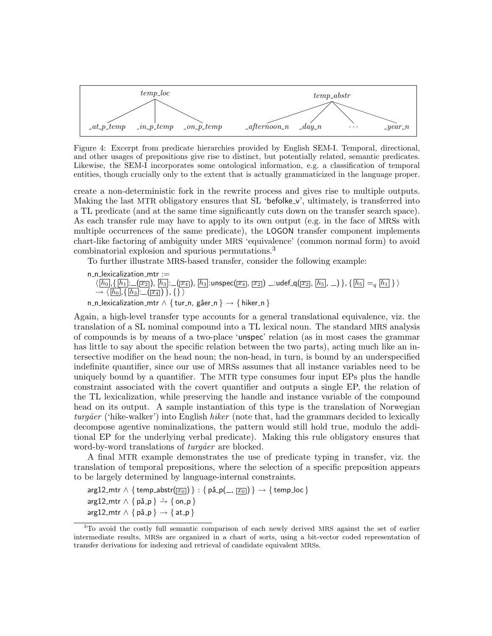

Figure 4: Excerpt from predicate hierarchies provided by English SEM-I. Temporal, directional, and other usages of prepositions give rise to distinct, but potentially related, semantic predicates. Likewise, the SEM-I incorporates some ontological information, e.g. a classification of temporal entities, though crucially only to the extent that is actually grammaticized in the language proper.

create a non-deterministic fork in the rewrite process and gives rise to multiple outputs. Making the last MTR obligatory ensures that SL 'befolke<sub>-v</sub>', ultimately, is transferred into a TL predicate (and at the same time significantly cuts down on the transfer search space). As each transfer rule may have to apply to its own output (e.g. in the face of MRSs with multiple occurrences of the same predicate), the LOGON transfer component implements chart-like factoring of ambiguity under MRS 'equivalence' (common normal form) to avoid combinatorial explosion and spurious permutations.<sup>3</sup>

To further illustrate MRS-based transfer, consider the following example:

n\_n\_lexicalization\_mtr :=  $\langle [h_0], \{ [h_1] \colon \_\_(\overline{x_2}] ), [h_3] \colon \_\_(\overline{x_4}] , [h_3]$ :unspec $(\overline{x_4} , \overline{x_2})$   $\_\_$ :udef  $\Box$ q $(\overline{x_2} , \overline{h_5} , \_\_) \} , \{ [h_5] =_q [h_1] \} \rangle$  $\rightarrow \langle h_0 |, \{ h_3 | \ldots (x_4) \} , \{ \} \rangle$ n\_n\_lexicalization\_mtr  $\land \{ tur_n, g\$ åer\_n }  $\rightarrow \{ hiker_n \}$ 

Again, a high-level transfer type accounts for a general translational equivalence, viz. the translation of a SL nominal compound into a TL lexical noun. The standard MRS analysis of compounds is by means of a two-place 'unspec' relation (as in most cases the grammar has little to say about the specific relation between the two parts), acting much like an intersective modifier on the head noun; the non-head, in turn, is bound by an underspecified indefinite quantifier, since our use of MRSs assumes that all instance variables need to be uniquely bound by a quantifier. The MTR type consumes four input EPs plus the handle constraint associated with the covert quantifier and outputs a single EP, the relation of the TL lexicalization, while preserving the handle and instance variable of the compound head on its output. A sample instantiation of this type is the translation of Norwegian  $turg\mathring{a}$ er ('hike-walker') into English *hiker* (note that, had the grammars decided to lexically decompose agentive nominalizations, the pattern would still hold true, modulo the additional EP for the underlying verbal predicate). Making this rule obligatory ensures that word-by-word translations of *turgåer* are blocked.

A final MTR example demonstrates the use of predicate typing in transfer, viz. the translation of temporal prepositions, where the selection of a specific preposition appears to be largely determined by language-internal constraints.

 $arg12_m$ tr  $\wedge \{ temp\_abstract(\overline{x_0}) \} : \{ p \land p(\_, \overline{x_0}) \} \rightarrow \{ temp\_loc \}$ arg12\_mtr  $\land$  { på\_p }  $\stackrel{?}{\rightarrow}$  { on\_p } arg12\_mtr  $\land$  { på\_p }  $\rightarrow$  { at\_p }

<sup>&</sup>lt;sup>3</sup>To avoid the costly full semantic comparison of each newly derived MRS against the set of earlier intermediate results, MRSs are organized in a chart of sorts, using a bit-vector coded representation of transfer derivations for indexing and retrieval of candidate equivalent MRSs.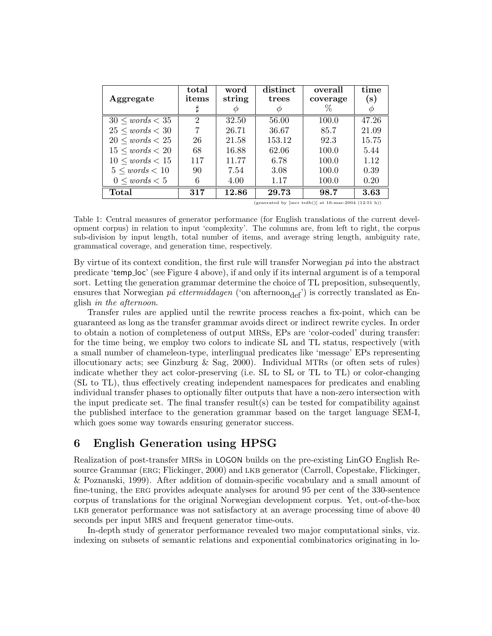| Aggregate            | total<br>items              | word<br>string | distinct<br>trees | overall<br>coverage | time<br>$(\mathrm{s})$ |
|----------------------|-----------------------------|----------------|-------------------|---------------------|------------------------|
|                      |                             |                | Ф                 | $\%$                | Φ                      |
| $30 \le words < 35$  | $\mathcal{D}_{\mathcal{L}}$ | 32.50          | 56.00             | 100.0               | 47.26                  |
| $25 \le words < 30$  |                             | 26.71          | 36.67             | 85.7                | 21.09                  |
| $20 \leq words < 25$ | 26                          | 21.58          | 153.12            | 92.3                | 15.75                  |
| $15 \le words < 20$  | 68                          | 16.88          | 62.06             | 100.0               | 5.44                   |
| $10 \leq words < 15$ | 117                         | 11.77          | 6.78              | 100.0               | 1.12                   |
| $5 \le words < 10$   | 90                          | 7.54           | 3.08              | 100.0               | 0.39                   |
| $0 \leq words < 5$   | 6                           | 4.00           | 1.17              | 100.0               | 0.20                   |
| Total                | 317                         | 12.86          | 29.73             | 98.7                | 3.63                   |

(generated by  $[$ incr tsdb $()$ ] at 16-mar-2004  $(12:51 h)$ )

Table 1: Central measures of generator performance (for English translations of the current development corpus) in relation to input 'complexity'. The columns are, from left to right, the corpus sub-division by input length, total number of items, and average string length, ambiguity rate, grammatical coverage, and generation time, respectively.

By virtue of its context condition, the first rule will transfer Norwegian  $p\ddot{\theta}$  into the abstract predicate 'temp loc' (see Figure 4 above), if and only if its internal argument is of a temporal sort. Letting the generation grammar determine the choice of TL preposition, subsequently, ensures that Norwegian på ettermiddagen ('on afternoon $_{def}$ ') is correctly translated as English in the afternoon.

Transfer rules are applied until the rewrite process reaches a fix-point, which can be guaranteed as long as the transfer grammar avoids direct or indirect rewrite cycles. In order to obtain a notion of completeness of output MRSs, EPs are 'color-coded' during transfer: for the time being, we employ two colors to indicate SL and TL status, respectively (with a small number of chameleon-type, interlingual predicates like 'message' EPs representing illocutionary acts; see Ginzburg  $\&$  Sag, 2000). Individual MTRs (or often sets of rules) indicate whether they act color-preserving (i.e. SL to SL or TL to TL) or color-changing (SL to TL), thus effectively creating independent namespaces for predicates and enabling individual transfer phases to optionally filter outputs that have a non-zero intersection with the input predicate set. The final transfer result(s) can be tested for compatibility against the published interface to the generation grammar based on the target language SEM-I, which goes some way towards ensuring generator success.

# 6 English Generation using HPSG

Realization of post-transfer MRSs in LOGON builds on the pre-existing LinGO English Resource Grammar (erg; Flickinger, 2000) and lkb generator (Carroll, Copestake, Flickinger, & Poznanski, 1999). After addition of domain-specific vocabulary and a small amount of fine-tuning, the erg provides adequate analyses for around 95 per cent of the 330-sentence corpus of translations for the original Norwegian development corpus. Yet, out-of-the-box LKB generator performance was not satisfactory at an average processing time of above 40 seconds per input MRS and frequent generator time-outs.

In-depth study of generator performance revealed two major computational sinks, viz. indexing on subsets of semantic relations and exponential combinatorics originating in lo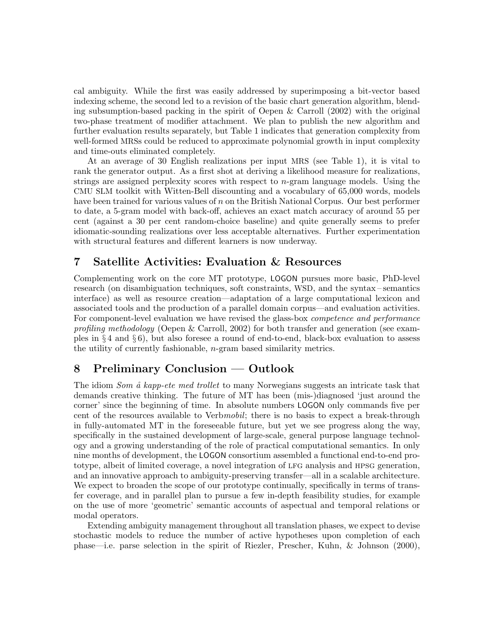cal ambiguity. While the first was easily addressed by superimposing a bit-vector based indexing scheme, the second led to a revision of the basic chart generation algorithm, blending subsumption-based packing in the spirit of Oepen & Carroll (2002) with the original two-phase treatment of modifier attachment. We plan to publish the new algorithm and further evaluation results separately, but Table 1 indicates that generation complexity from well-formed MRSs could be reduced to approximate polynomial growth in input complexity and time-outs eliminated completely.

At an average of 30 English realizations per input MRS (see Table 1), it is vital to rank the generator output. As a first shot at deriving a likelihood measure for realizations, strings are assigned perplexity scores with respect to  $n$ -gram language models. Using the CMU SLM toolkit with Witten-Bell discounting and a vocabulary of 65,000 words, models have been trained for various values of n on the British National Corpus. Our best performer to date, a 5-gram model with back-off, achieves an exact match accuracy of around 55 per cent (against a 30 per cent random-choice baseline) and quite generally seems to prefer idiomatic-sounding realizations over less acceptable alternatives. Further experimentation with structural features and different learners is now underway.

# 7 Satellite Activities: Evaluation & Resources

Complementing work on the core MT prototype, LOGON pursues more basic, PhD-level research (on disambiguation techniques, soft constraints, WSD, and the syntax – semantics interface) as well as resource creation—adaptation of a large computational lexicon and associated tools and the production of a parallel domain corpus—and evaluation activities. For component-level evaluation we have revised the glass-box *competence and performance* profiling methodology (Oepen & Carroll, 2002) for both transfer and generation (see examples in § 4 and § 6), but also foresee a round of end-to-end, black-box evaluation to assess the utility of currently fashionable, n-gram based similarity metrics.

# 8 Preliminary Conclusion — Outlook

The idiom *Som å kapp-ete med trollet* to many Norwegians suggests an intricate task that demands creative thinking. The future of MT has been (mis-)diagnosed 'just around the corner' since the beginning of time. In absolute numbers LOGON only commands five per cent of the resources available to Verbmobil; there is no basis to expect a break-through in fully-automated MT in the foreseeable future, but yet we see progress along the way, specifically in the sustained development of large-scale, general purpose language technology and a growing understanding of the role of practical computational semantics. In only nine months of development, the LOGON consortium assembled a functional end-to-end prototype, albeit of limited coverage, a novel integration of lfg analysis and hpsg generation, and an innovative approach to ambiguity-preserving transfer—all in a scalable architecture. We expect to broaden the scope of our prototype continually, specifically in terms of transfer coverage, and in parallel plan to pursue a few in-depth feasibility studies, for example on the use of more 'geometric' semantic accounts of aspectual and temporal relations or modal operators.

Extending ambiguity management throughout all translation phases, we expect to devise stochastic models to reduce the number of active hypotheses upon completion of each phase—i.e. parse selection in the spirit of Riezler, Prescher, Kuhn, & Johnson (2000),